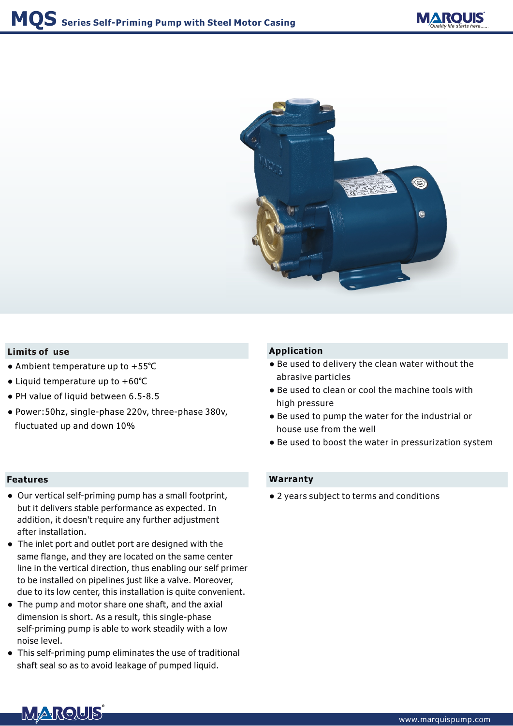



#### **Limits of use**

- Ambient temperature up to +55℃
- Liquid temperature up to +60℃
- PH value of liquid between 6.5-8.5
- Power:50hz, single-phase 220v, three-phase 380v, fluctuated up and down 10%

#### **Features**

- Our vertical self-priming pump has a small footprint, but it delivers stable performance as expected. In addition, it doesn't require any further adjustment after installation.
- The inlet port and outlet port are designed with the same flange, and they are located on the same center line in the vertical direction, thus enabling our self primer to be installed on pipelines just like a valve. Moreover, due to its low center, this installation is quite convenient.
- The pump and motor share one shaft, and the axial dimension is short. As a result, this single-phase self-priming pump is able to work steadily with a low noise level.
- This self-priming pump eliminates the use of traditional shaft seal so as to avoid leakage of pumped liquid.

## **Application**

- Be used to delivery the clean water without the abrasive particles
- Be used to clean or cool the machine tools with high pressure
- Be used to pump the water for the industrial or house use from the well
- Be used to boost the water in pressurization system

### **Warranty**

● 2 years subject to terms and conditions

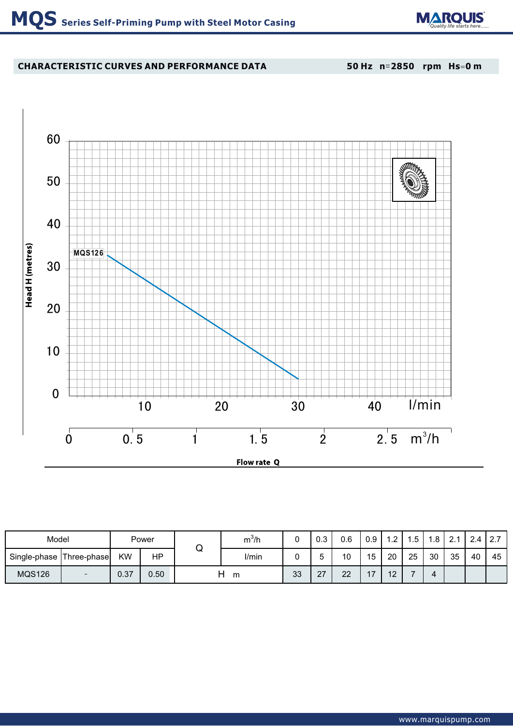

# **CHARACTERISTIC CURVES AND PERFORMANCE DATA**

**50 Hz n**=**2850 rpm Hs**=**0 m**



| Model         | Power                    |           |      | m°/h         |       | ∪.∪ | 0.6           | 0.9       | 1.2            | Б.<br>. ب | $\circ$<br>ı.o | $\Omega$ $\Lambda$ | 2.4 | 2.7 |    |
|---------------|--------------------------|-----------|------|--------------|-------|-----|---------------|-----------|----------------|-----------|----------------|--------------------|-----|-----|----|
| Single-phase  | Three-phase              | <b>KW</b> | HP   | $\checkmark$ | I/min |     |               | 10        | 15             | 20        | 25             | 30                 | 35  | 40  | 45 |
| <b>MQS126</b> | $\overline{\phantom{0}}$ | 0.37      | 0.50 | m            |       | 33  | ົ<br><u>L</u> | ົດຕ<br>∠∠ | $\overline{A}$ | 10<br>╺   |                | 4                  |     |     |    |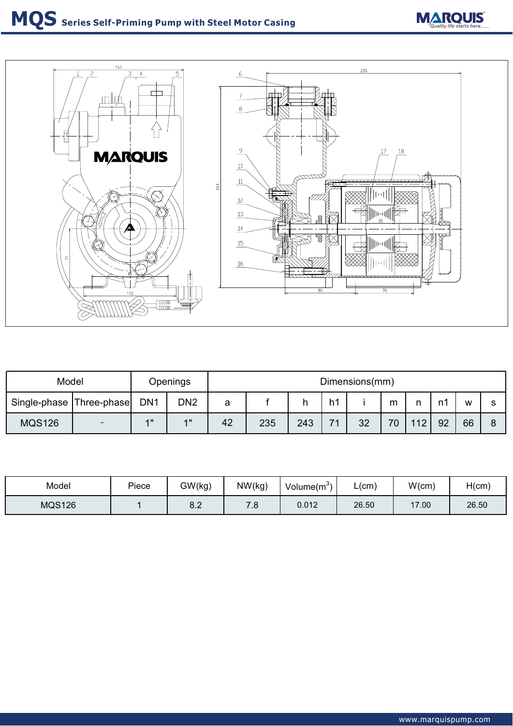# **MQS** Series Self-Priming Pump with Steel Motor Casing **MARQUIS**



| Model                    |     | Openings        |                 | Dimensions(mm) |     |     |                          |    |    |     |    |    |   |  |
|--------------------------|-----|-----------------|-----------------|----------------|-----|-----|--------------------------|----|----|-----|----|----|---|--|
| Single-phase Three-phase |     | DN <sub>1</sub> | DN <sub>2</sub> | a              |     |     | h1                       |    | m  |     |    | w  | c |  |
| <b>MQS126</b>            | $-$ | 4"              | 4H              | 42             | 235 | 243 | $\overline{\phantom{a}}$ | 32 | 70 | 112 | 92 | 66 |   |  |

| Model         | Piece | GW(kg)        | NW(kg)   | Volume $(m^3)$ | L(cm) | W(cm) | H(cm) |
|---------------|-------|---------------|----------|----------------|-------|-------|-------|
| <b>MQS126</b> |       | $\sim$<br>o.z | ⇁<br>. ب | 0.012          | 26.50 | 17.00 | 26.50 |